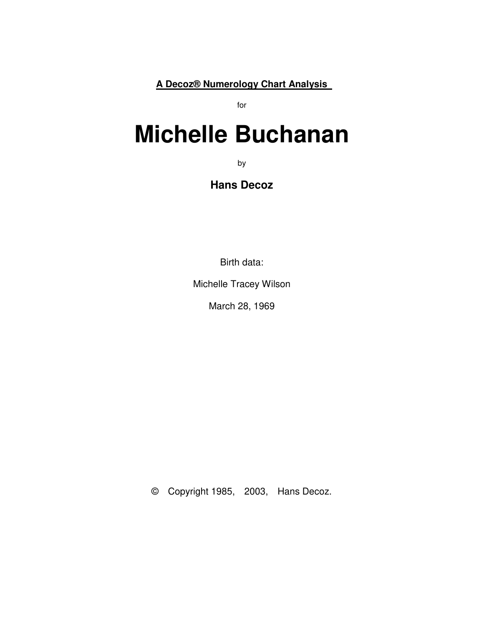**A Decoz® Numerology Chart Analysis** 

for

# **Michelle Buchanan**

by

**Hans Decoz** 

Birth data:

Michelle Tracey Wilson

March 28, 1969

© Copyright 1985, 2003, Hans Decoz.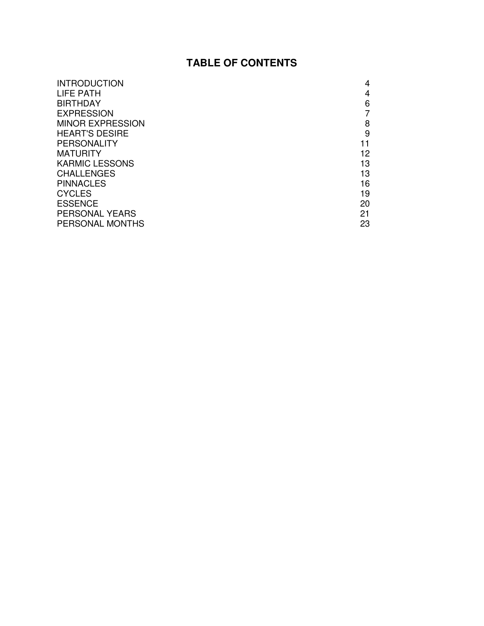# **TABLE OF CONTENTS**

| <b>INTRODUCTION</b>     | 4  |
|-------------------------|----|
| LIFE PATH               | 4  |
| <b>BIRTHDAY</b>         | 6  |
| <b>EXPRESSION</b>       | 7  |
| <b>MINOR EXPRESSION</b> | 8  |
| <b>HEART'S DESIRE</b>   | 9  |
| <b>PERSONALITY</b>      | 11 |
| <b>MATURITY</b>         | 12 |
| <b>KARMIC LESSONS</b>   | 13 |
| <b>CHALLENGES</b>       | 13 |
| <b>PINNACLES</b>        | 16 |
| <b>CYCLES</b>           | 19 |
| <b>ESSENCE</b>          | 20 |
| PERSONAL YEARS          | 21 |
| PERSONAL MONTHS         | 23 |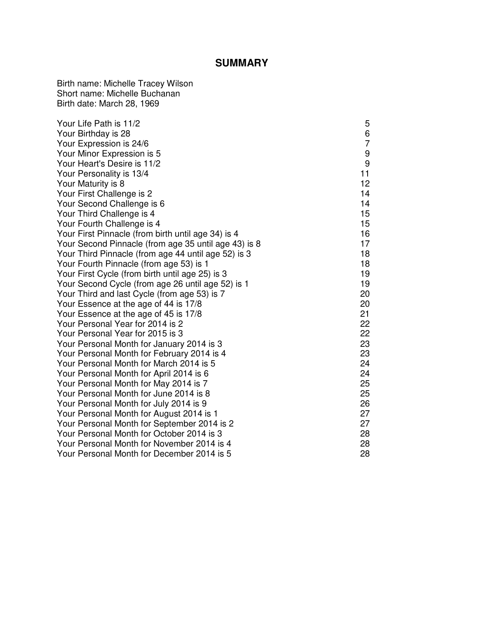# **SUMMARY**

Birth name: Michelle Tracey Wilson Short name: Michelle Buchanan Birth date: March 28, 1969

| Your Life Path is 11/2                               | 5                |
|------------------------------------------------------|------------------|
| Your Birthday is 28                                  | 6                |
| Your Expression is 24/6                              | $\overline{7}$   |
| Your Minor Expression is 5                           | $\boldsymbol{9}$ |
| Your Heart's Desire is 11/2                          | 9                |
| Your Personality is 13/4                             | 11               |
| Your Maturity is 8                                   | 12               |
| Your First Challenge is 2                            | 14               |
| Your Second Challenge is 6                           | 14               |
| Your Third Challenge is 4                            | 15               |
| Your Fourth Challenge is 4                           | 15               |
| Your First Pinnacle (from birth until age 34) is 4   | 16               |
| Your Second Pinnacle (from age 35 until age 43) is 8 | 17               |
| Your Third Pinnacle (from age 44 until age 52) is 3  | 18               |
| Your Fourth Pinnacle (from age 53) is 1              | 18               |
| Your First Cycle (from birth until age 25) is 3      | 19               |
| Your Second Cycle (from age 26 until age 52) is 1    | 19               |
| Your Third and last Cycle (from age 53) is 7         | 20               |
| Your Essence at the age of 44 is 17/8                | 20               |
| Your Essence at the age of 45 is 17/8                | 21               |
| Your Personal Year for 2014 is 2                     | 22               |
| Your Personal Year for 2015 is 3                     | 22               |
| Your Personal Month for January 2014 is 3            | 23               |
| Your Personal Month for February 2014 is 4           | 23               |
| Your Personal Month for March 2014 is 5              | 24               |
| Your Personal Month for April 2014 is 6              | 24               |
| Your Personal Month for May 2014 is 7                | 25               |
| Your Personal Month for June 2014 is 8               | 25               |
| Your Personal Month for July 2014 is 9               | 26               |
| Your Personal Month for August 2014 is 1             | 27               |
| Your Personal Month for September 2014 is 2          | 27               |
| Your Personal Month for October 2014 is 3            | 28               |
| Your Personal Month for November 2014 is 4           | 28               |
| Your Personal Month for December 2014 is 5           | 28               |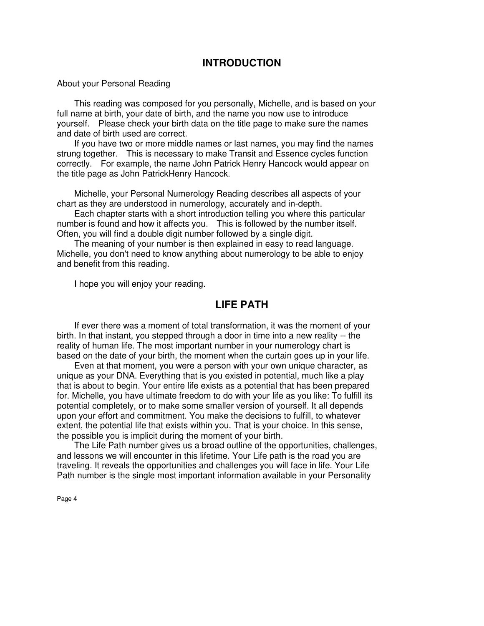# **INTRODUCTION**

About your Personal Reading

 This reading was composed for you personally, Michelle, and is based on your full name at birth, your date of birth, and the name you now use to introduce yourself. Please check your birth data on the title page to make sure the names and date of birth used are correct.

 If you have two or more middle names or last names, you may find the names strung together. This is necessary to make Transit and Essence cycles function correctly. For example, the name John Patrick Henry Hancock would appear on the title page as John PatrickHenry Hancock.

 Michelle, your Personal Numerology Reading describes all aspects of your chart as they are understood in numerology, accurately and in-depth.

 Each chapter starts with a short introduction telling you where this particular number is found and how it affects you. This is followed by the number itself. Often, you will find a double digit number followed by a single digit.

 The meaning of your number is then explained in easy to read language. Michelle, you don't need to know anything about numerology to be able to enjoy and benefit from this reading.

I hope you will enjoy your reading.

# **LIFE PATH**

 If ever there was a moment of total transformation, it was the moment of your birth. In that instant, you stepped through a door in time into a new reality -- the reality of human life. The most important number in your numerology chart is based on the date of your birth, the moment when the curtain goes up in your life.

 Even at that moment, you were a person with your own unique character, as unique as your DNA. Everything that is you existed in potential, much like a play that is about to begin. Your entire life exists as a potential that has been prepared for. Michelle, you have ultimate freedom to do with your life as you like: To fulfill its potential completely, or to make some smaller version of yourself. It all depends upon your effort and commitment. You make the decisions to fulfill, to whatever extent, the potential life that exists within you. That is your choice. In this sense, the possible you is implicit during the moment of your birth.

 The Life Path number gives us a broad outline of the opportunities, challenges, and lessons we will encounter in this lifetime. Your Life path is the road you are traveling. It reveals the opportunities and challenges you will face in life. Your Life Path number is the single most important information available in your Personality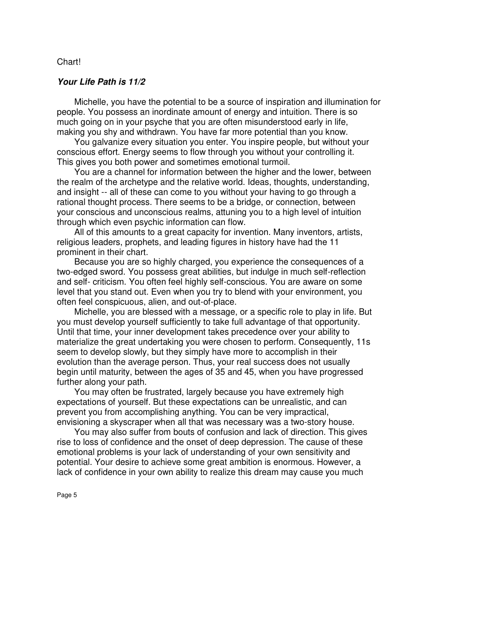#### Chart!

# *Your Life Path is 11/2*

 Michelle, you have the potential to be a source of inspiration and illumination for people. You possess an inordinate amount of energy and intuition. There is so much going on in your psyche that you are often misunderstood early in life, making you shy and withdrawn. You have far more potential than you know.

 You galvanize every situation you enter. You inspire people, but without your conscious effort. Energy seems to flow through you without your controlling it. This gives you both power and sometimes emotional turmoil.

 You are a channel for information between the higher and the lower, between the realm of the archetype and the relative world. Ideas, thoughts, understanding, and insight -- all of these can come to you without your having to go through a rational thought process. There seems to be a bridge, or connection, between your conscious and unconscious realms, attuning you to a high level of intuition through which even psychic information can flow.

 All of this amounts to a great capacity for invention. Many inventors, artists, religious leaders, prophets, and leading figures in history have had the 11 prominent in their chart.

 Because you are so highly charged, you experience the consequences of a two-edged sword. You possess great abilities, but indulge in much self-reflection and self- criticism. You often feel highly self-conscious. You are aware on some level that you stand out. Even when you try to blend with your environment, you often feel conspicuous, alien, and out-of-place.

 Michelle, you are blessed with a message, or a specific role to play in life. But you must develop yourself sufficiently to take full advantage of that opportunity. Until that time, your inner development takes precedence over your ability to materialize the great undertaking you were chosen to perform. Consequently, 11s seem to develop slowly, but they simply have more to accomplish in their evolution than the average person. Thus, your real success does not usually begin until maturity, between the ages of 35 and 45, when you have progressed further along your path.

 You may often be frustrated, largely because you have extremely high expectations of yourself. But these expectations can be unrealistic, and can prevent you from accomplishing anything. You can be very impractical, envisioning a skyscraper when all that was necessary was a two-story house.

 You may also suffer from bouts of confusion and lack of direction. This gives rise to loss of confidence and the onset of deep depression. The cause of these emotional problems is your lack of understanding of your own sensitivity and potential. Your desire to achieve some great ambition is enormous. However, a lack of confidence in your own ability to realize this dream may cause you much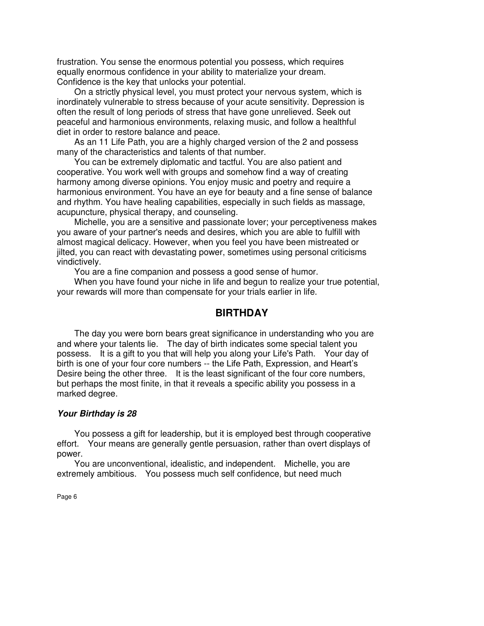frustration. You sense the enormous potential you possess, which requires equally enormous confidence in your ability to materialize your dream. Confidence is the key that unlocks your potential.

 On a strictly physical level, you must protect your nervous system, which is inordinately vulnerable to stress because of your acute sensitivity. Depression is often the result of long periods of stress that have gone unrelieved. Seek out peaceful and harmonious environments, relaxing music, and follow a healthful diet in order to restore balance and peace.

 As an 11 Life Path, you are a highly charged version of the 2 and possess many of the characteristics and talents of that number.

 You can be extremely diplomatic and tactful. You are also patient and cooperative. You work well with groups and somehow find a way of creating harmony among diverse opinions. You enjoy music and poetry and require a harmonious environment. You have an eye for beauty and a fine sense of balance and rhythm. You have healing capabilities, especially in such fields as massage, acupuncture, physical therapy, and counseling.

 Michelle, you are a sensitive and passionate lover; your perceptiveness makes you aware of your partner's needs and desires, which you are able to fulfill with almost magical delicacy. However, when you feel you have been mistreated or jilted, you can react with devastating power, sometimes using personal criticisms vindictively.

You are a fine companion and possess a good sense of humor.

 When you have found your niche in life and begun to realize your true potential, your rewards will more than compensate for your trials earlier in life.

# **BIRTHDAY**

 The day you were born bears great significance in understanding who you are and where your talents lie. The day of birth indicates some special talent you possess. It is a gift to you that will help you along your Life's Path. Your day of birth is one of your four core numbers -- the Life Path, Expression, and Heart's Desire being the other three. It is the least significant of the four core numbers, but perhaps the most finite, in that it reveals a specific ability you possess in a marked degree.

#### *Your Birthday is 28*

 You possess a gift for leadership, but it is employed best through cooperative effort. Your means are generally gentle persuasion, rather than overt displays of power.

 You are unconventional, idealistic, and independent. Michelle, you are extremely ambitious. You possess much self confidence, but need much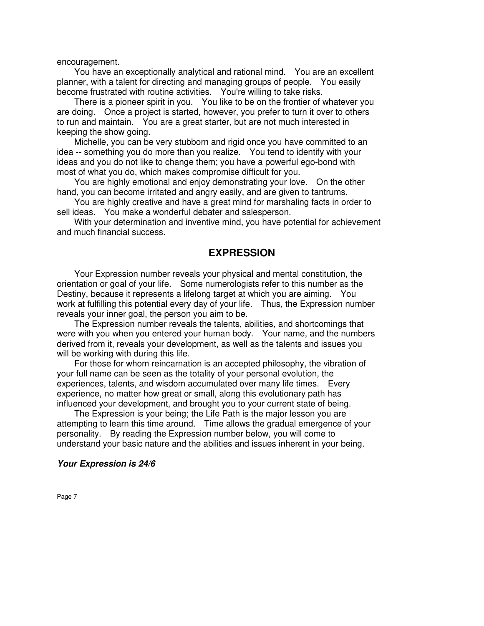encouragement.

 You have an exceptionally analytical and rational mind. You are an excellent planner, with a talent for directing and managing groups of people. You easily become frustrated with routine activities. You're willing to take risks.

 There is a pioneer spirit in you. You like to be on the frontier of whatever you are doing. Once a project is started, however, you prefer to turn it over to others to run and maintain. You are a great starter, but are not much interested in keeping the show going.

 Michelle, you can be very stubborn and rigid once you have committed to an idea -- something you do more than you realize. You tend to identify with your ideas and you do not like to change them; you have a powerful ego-bond with most of what you do, which makes compromise difficult for you.

 You are highly emotional and enjoy demonstrating your love. On the other hand, you can become irritated and angry easily, and are given to tantrums.

 You are highly creative and have a great mind for marshaling facts in order to sell ideas. You make a wonderful debater and salesperson.

 With your determination and inventive mind, you have potential for achievement and much financial success.

# **EXPRESSION**

 Your Expression number reveals your physical and mental constitution, the orientation or goal of your life. Some numerologists refer to this number as the Destiny, because it represents a lifelong target at which you are aiming. You work at fulfilling this potential every day of your life. Thus, the Expression number reveals your inner goal, the person you aim to be.

 The Expression number reveals the talents, abilities, and shortcomings that were with you when you entered your human body. Your name, and the numbers derived from it, reveals your development, as well as the talents and issues you will be working with during this life.

 For those for whom reincarnation is an accepted philosophy, the vibration of your full name can be seen as the totality of your personal evolution, the experiences, talents, and wisdom accumulated over many life times. Every experience, no matter how great or small, along this evolutionary path has influenced your development, and brought you to your current state of being.

 The Expression is your being; the Life Path is the major lesson you are attempting to learn this time around. Time allows the gradual emergence of your personality. By reading the Expression number below, you will come to understand your basic nature and the abilities and issues inherent in your being.

#### *Your Expression is 24/6*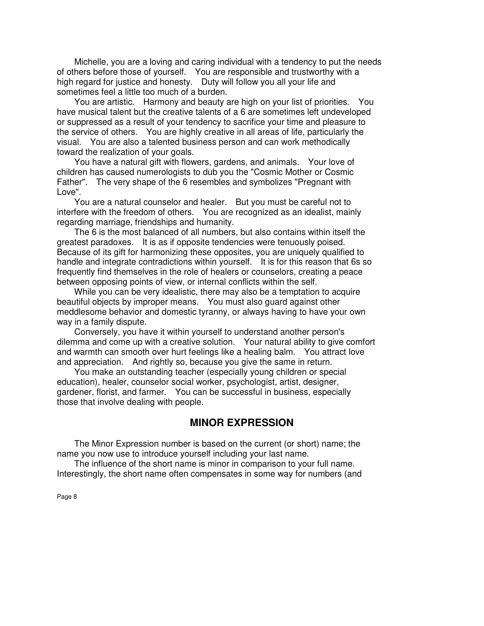Michelle, you are a loving and caring individual with a tendency to put the needs of others before those of yourself. You are responsible and trustworthy with a high regard for justice and honesty. Duty will follow you all your life and sometimes feel a little too much of a burden.

 You are artistic. Harmony and beauty are high on your list of priorities. You have musical talent but the creative talents of a 6 are sometimes left undeveloped or suppressed as a result of your tendency to sacrifice your time and pleasure to the service of others. You are highly creative in all areas of life, particularly the visual. You are also a talented business person and can work methodically toward the realization of your goals.

 You have a natural gift with flowers, gardens, and animals. Your love of children has caused numerologists to dub you the "Cosmic Mother or Cosmic Father". The very shape of the 6 resembles and symbolizes "Pregnant with Love".

 You are a natural counselor and healer. But you must be careful not to interfere with the freedom of others. You are recognized as an idealist, mainly regarding marriage, friendships and humanity.

 The 6 is the most balanced of all numbers, but also contains within itself the greatest paradoxes. It is as if opposite tendencies were tenuously poised. Because of its gift for harmonizing these opposites, you are uniquely qualified to handle and integrate contradictions within yourself. It is for this reason that 6s so frequently find themselves in the role of healers or counselors, creating a peace between opposing points of view, or internal conflicts within the self.

 While you can be very idealistic, there may also be a temptation to acquire beautiful objects by improper means. You must also guard against other meddlesome behavior and domestic tyranny, or always having to have your own way in a family dispute.

 Conversely, you have it within yourself to understand another person's dilemma and come up with a creative solution. Your natural ability to give comfort and warmth can smooth over hurt feelings like a healing balm. You attract love and appreciation. And rightly so, because you give the same in return.

 You make an outstanding teacher (especially young children or special education), healer, counselor social worker, psychologist, artist, designer, gardener, florist, and farmer. You can be successful in business, especially those that involve dealing with people.

# **MINOR EXPRESSION**

 The Minor Expression number is based on the current (or short) name; the name you now use to introduce yourself including your last name.

 The influence of the short name is minor in comparison to your full name. Interestingly, the short name often compensates in some way for numbers (and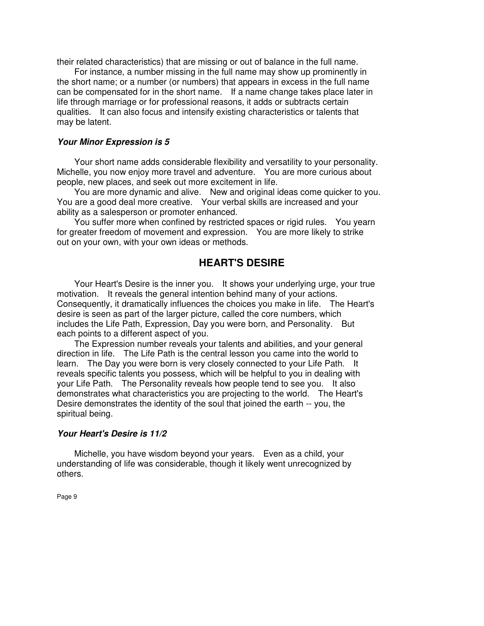their related characteristics) that are missing or out of balance in the full name.

 For instance, a number missing in the full name may show up prominently in the short name; or a number (or numbers) that appears in excess in the full name can be compensated for in the short name. If a name change takes place later in life through marriage or for professional reasons, it adds or subtracts certain qualities. It can also focus and intensify existing characteristics or talents that may be latent.

#### *Your Minor Expression is 5*

 Your short name adds considerable flexibility and versatility to your personality. Michelle, you now enjoy more travel and adventure. You are more curious about people, new places, and seek out more excitement in life.

 You are more dynamic and alive. New and original ideas come quicker to you. You are a good deal more creative. Your verbal skills are increased and your ability as a salesperson or promoter enhanced.

 You suffer more when confined by restricted spaces or rigid rules. You yearn for greater freedom of movement and expression. You are more likely to strike out on your own, with your own ideas or methods.

# **HEART'S DESIRE**

 Your Heart's Desire is the inner you. It shows your underlying urge, your true motivation. It reveals the general intention behind many of your actions. Consequently, it dramatically influences the choices you make in life. The Heart's desire is seen as part of the larger picture, called the core numbers, which includes the Life Path, Expression, Day you were born, and Personality. But each points to a different aspect of you.

 The Expression number reveals your talents and abilities, and your general direction in life. The Life Path is the central lesson you came into the world to learn. The Day you were born is very closely connected to your Life Path. It reveals specific talents you possess, which will be helpful to you in dealing with your Life Path. The Personality reveals how people tend to see you. It also demonstrates what characteristics you are projecting to the world. The Heart's Desire demonstrates the identity of the soul that joined the earth -- you, the spiritual being.

#### *Your Heart's Desire is 11/2*

 Michelle, you have wisdom beyond your years. Even as a child, your understanding of life was considerable, though it likely went unrecognized by others.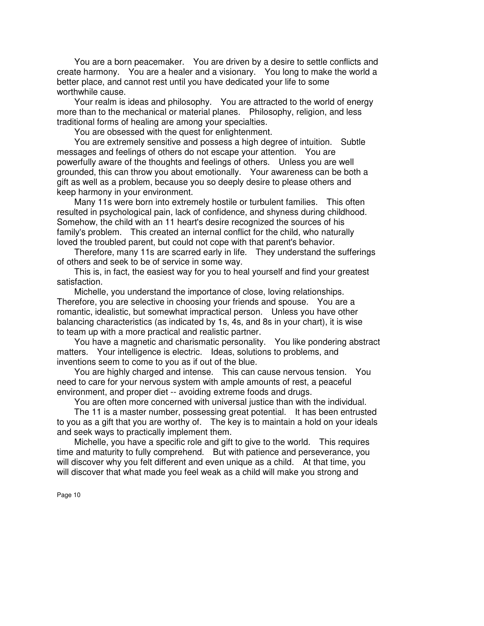You are a born peacemaker. You are driven by a desire to settle conflicts and create harmony. You are a healer and a visionary. You long to make the world a better place, and cannot rest until you have dedicated your life to some worthwhile cause.

 Your realm is ideas and philosophy. You are attracted to the world of energy more than to the mechanical or material planes. Philosophy, religion, and less traditional forms of healing are among your specialties.

You are obsessed with the quest for enlightenment.

 You are extremely sensitive and possess a high degree of intuition. Subtle messages and feelings of others do not escape your attention. You are powerfully aware of the thoughts and feelings of others. Unless you are well grounded, this can throw you about emotionally. Your awareness can be both a gift as well as a problem, because you so deeply desire to please others and keep harmony in your environment.

 Many 11s were born into extremely hostile or turbulent families. This often resulted in psychological pain, lack of confidence, and shyness during childhood. Somehow, the child with an 11 heart's desire recognized the sources of his family's problem. This created an internal conflict for the child, who naturally loved the troubled parent, but could not cope with that parent's behavior.

 Therefore, many 11s are scarred early in life. They understand the sufferings of others and seek to be of service in some way.

 This is, in fact, the easiest way for you to heal yourself and find your greatest satisfaction.

 Michelle, you understand the importance of close, loving relationships. Therefore, you are selective in choosing your friends and spouse. You are a romantic, idealistic, but somewhat impractical person. Unless you have other balancing characteristics (as indicated by 1s, 4s, and 8s in your chart), it is wise to team up with a more practical and realistic partner.

 You have a magnetic and charismatic personality. You like pondering abstract matters. Your intelligence is electric. Ideas, solutions to problems, and inventions seem to come to you as if out of the blue.

 You are highly charged and intense. This can cause nervous tension. You need to care for your nervous system with ample amounts of rest, a peaceful environment, and proper diet -- avoiding extreme foods and drugs.

You are often more concerned with universal justice than with the individual.

 The 11 is a master number, possessing great potential. It has been entrusted to you as a gift that you are worthy of. The key is to maintain a hold on your ideals and seek ways to practically implement them.

 Michelle, you have a specific role and gift to give to the world. This requires time and maturity to fully comprehend. But with patience and perseverance, you will discover why you felt different and even unique as a child. At that time, you will discover that what made you feel weak as a child will make you strong and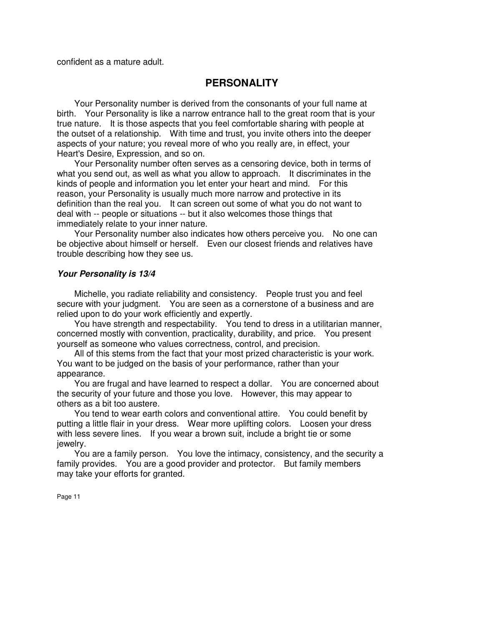confident as a mature adult.

# **PERSONALITY**

 Your Personality number is derived from the consonants of your full name at birth. Your Personality is like a narrow entrance hall to the great room that is your true nature. It is those aspects that you feel comfortable sharing with people at the outset of a relationship. With time and trust, you invite others into the deeper aspects of your nature; you reveal more of who you really are, in effect, your Heart's Desire, Expression, and so on.

 Your Personality number often serves as a censoring device, both in terms of what you send out, as well as what you allow to approach. It discriminates in the kinds of people and information you let enter your heart and mind. For this reason, your Personality is usually much more narrow and protective in its definition than the real you. It can screen out some of what you do not want to deal with -- people or situations -- but it also welcomes those things that immediately relate to your inner nature.

 Your Personality number also indicates how others perceive you. No one can be objective about himself or herself. Even our closest friends and relatives have trouble describing how they see us.

#### *Your Personality is 13/4*

 Michelle, you radiate reliability and consistency. People trust you and feel secure with your judgment. You are seen as a cornerstone of a business and are relied upon to do your work efficiently and expertly.

 You have strength and respectability. You tend to dress in a utilitarian manner, concerned mostly with convention, practicality, durability, and price. You present yourself as someone who values correctness, control, and precision.

 All of this stems from the fact that your most prized characteristic is your work. You want to be judged on the basis of your performance, rather than your appearance.

 You are frugal and have learned to respect a dollar. You are concerned about the security of your future and those you love. However, this may appear to others as a bit too austere.

 You tend to wear earth colors and conventional attire. You could benefit by putting a little flair in your dress. Wear more uplifting colors. Loosen your dress with less severe lines. If you wear a brown suit, include a bright tie or some jewelry.

 You are a family person. You love the intimacy, consistency, and the security a family provides. You are a good provider and protector. But family members may take your efforts for granted.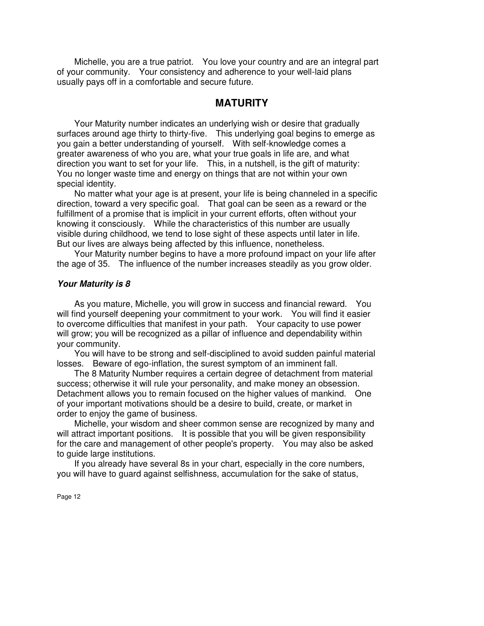Michelle, you are a true patriot. You love your country and are an integral part of your community. Your consistency and adherence to your well-laid plans usually pays off in a comfortable and secure future.

## **MATURITY**

 Your Maturity number indicates an underlying wish or desire that gradually surfaces around age thirty to thirty-five. This underlying goal begins to emerge as you gain a better understanding of yourself. With self-knowledge comes a greater awareness of who you are, what your true goals in life are, and what direction you want to set for your life. This, in a nutshell, is the gift of maturity: You no longer waste time and energy on things that are not within your own special identity.

 No matter what your age is at present, your life is being channeled in a specific direction, toward a very specific goal. That goal can be seen as a reward or the fulfillment of a promise that is implicit in your current efforts, often without your knowing it consciously. While the characteristics of this number are usually visible during childhood, we tend to lose sight of these aspects until later in life. But our lives are always being affected by this influence, nonetheless.

 Your Maturity number begins to have a more profound impact on your life after the age of 35. The influence of the number increases steadily as you grow older.

#### *Your Maturity is 8*

 As you mature, Michelle, you will grow in success and financial reward. You will find yourself deepening your commitment to your work. You will find it easier to overcome difficulties that manifest in your path. Your capacity to use power will grow; you will be recognized as a pillar of influence and dependability within your community.

 You will have to be strong and self-disciplined to avoid sudden painful material losses. Beware of ego-inflation, the surest symptom of an imminent fall.

 The 8 Maturity Number requires a certain degree of detachment from material success; otherwise it will rule your personality, and make money an obsession. Detachment allows you to remain focused on the higher values of mankind. One of your important motivations should be a desire to build, create, or market in order to enjoy the game of business.

 Michelle, your wisdom and sheer common sense are recognized by many and will attract important positions. It is possible that you will be given responsibility for the care and management of other people's property. You may also be asked to guide large institutions.

 If you already have several 8s in your chart, especially in the core numbers, you will have to guard against selfishness, accumulation for the sake of status,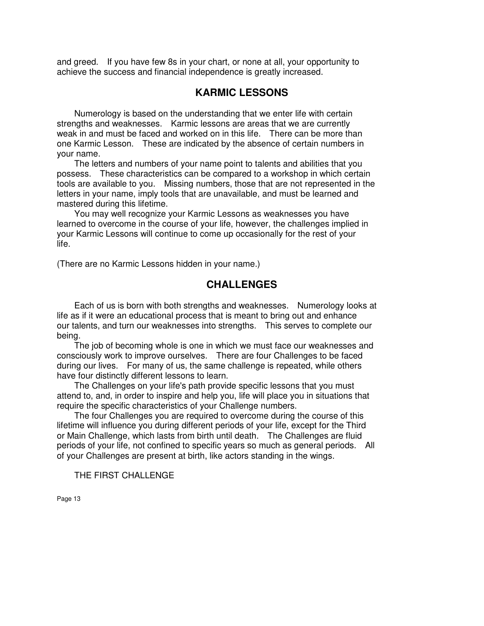and greed. If you have few 8s in your chart, or none at all, your opportunity to achieve the success and financial independence is greatly increased.

# **KARMIC LESSONS**

 Numerology is based on the understanding that we enter life with certain strengths and weaknesses. Karmic lessons are areas that we are currently weak in and must be faced and worked on in this life. There can be more than one Karmic Lesson. These are indicated by the absence of certain numbers in your name.

 The letters and numbers of your name point to talents and abilities that you possess. These characteristics can be compared to a workshop in which certain tools are available to you. Missing numbers, those that are not represented in the letters in your name, imply tools that are unavailable, and must be learned and mastered during this lifetime.

 You may well recognize your Karmic Lessons as weaknesses you have learned to overcome in the course of your life, however, the challenges implied in your Karmic Lessons will continue to come up occasionally for the rest of your life.

(There are no Karmic Lessons hidden in your name.)

# **CHALLENGES**

 Each of us is born with both strengths and weaknesses. Numerology looks at life as if it were an educational process that is meant to bring out and enhance our talents, and turn our weaknesses into strengths. This serves to complete our being.

 The job of becoming whole is one in which we must face our weaknesses and consciously work to improve ourselves. There are four Challenges to be faced during our lives. For many of us, the same challenge is repeated, while others have four distinctly different lessons to learn.

 The Challenges on your life's path provide specific lessons that you must attend to, and, in order to inspire and help you, life will place you in situations that require the specific characteristics of your Challenge numbers.

 The four Challenges you are required to overcome during the course of this lifetime will influence you during different periods of your life, except for the Third or Main Challenge, which lasts from birth until death. The Challenges are fluid periods of your life, not confined to specific years so much as general periods. All of your Challenges are present at birth, like actors standing in the wings.

THE FIRST CHALL FNGE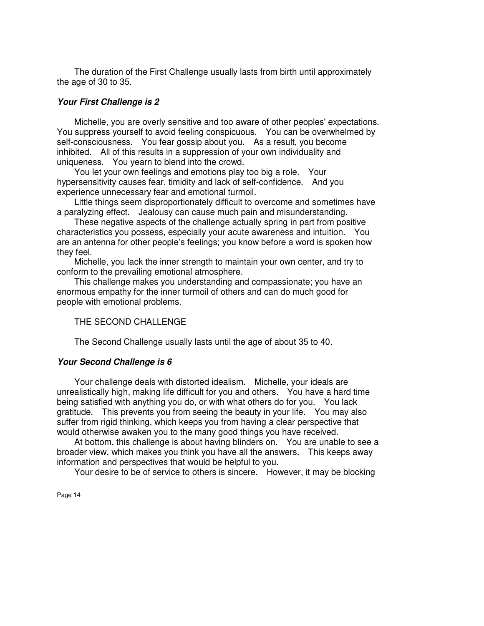The duration of the First Challenge usually lasts from birth until approximately the age of 30 to 35.

#### *Your First Challenge is 2*

 Michelle, you are overly sensitive and too aware of other peoples' expectations. You suppress yourself to avoid feeling conspicuous. You can be overwhelmed by self-consciousness. You fear gossip about you. As a result, you become inhibited. All of this results in a suppression of your own individuality and uniqueness. You yearn to blend into the crowd.

 You let your own feelings and emotions play too big a role. Your hypersensitivity causes fear, timidity and lack of self-confidence. And you experience unnecessary fear and emotional turmoil.

 Little things seem disproportionately difficult to overcome and sometimes have a paralyzing effect. Jealousy can cause much pain and misunderstanding.

 These negative aspects of the challenge actually spring in part from positive characteristics you possess, especially your acute awareness and intuition. You are an antenna for other people's feelings; you know before a word is spoken how they feel.

 Michelle, you lack the inner strength to maintain your own center, and try to conform to the prevailing emotional atmosphere.

 This challenge makes you understanding and compassionate; you have an enormous empathy for the inner turmoil of others and can do much good for people with emotional problems.

#### THE SECOND CHALLENGE

The Second Challenge usually lasts until the age of about 35 to 40.

#### *Your Second Challenge is 6*

 Your challenge deals with distorted idealism. Michelle, your ideals are unrealistically high, making life difficult for you and others. You have a hard time being satisfied with anything you do, or with what others do for you. You lack gratitude. This prevents you from seeing the beauty in your life. You may also suffer from rigid thinking, which keeps you from having a clear perspective that would otherwise awaken you to the many good things you have received.

 At bottom, this challenge is about having blinders on. You are unable to see a broader view, which makes you think you have all the answers. This keeps away information and perspectives that would be helpful to you.

Your desire to be of service to others is sincere. However, it may be blocking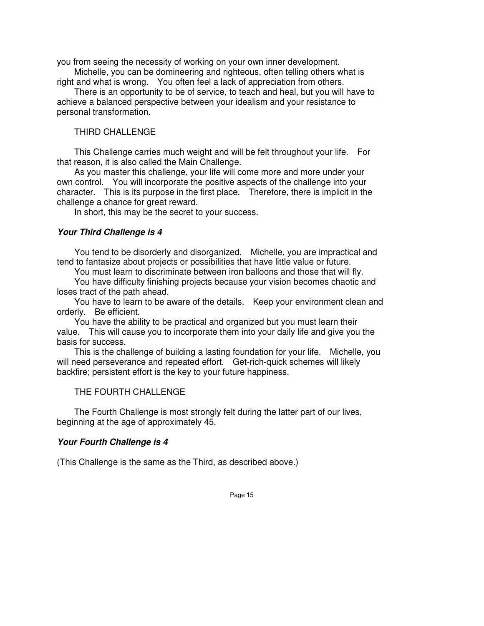you from seeing the necessity of working on your own inner development.

 Michelle, you can be domineering and righteous, often telling others what is right and what is wrong. You often feel a lack of appreciation from others.

 There is an opportunity to be of service, to teach and heal, but you will have to achieve a balanced perspective between your idealism and your resistance to personal transformation.

## THIRD CHALLENGE

 This Challenge carries much weight and will be felt throughout your life. For that reason, it is also called the Main Challenge.

 As you master this challenge, your life will come more and more under your own control. You will incorporate the positive aspects of the challenge into your character. This is its purpose in the first place. Therefore, there is implicit in the challenge a chance for great reward.

In short, this may be the secret to your success.

## *Your Third Challenge is 4*

 You tend to be disorderly and disorganized. Michelle, you are impractical and tend to fantasize about projects or possibilities that have little value or future.

You must learn to discriminate between iron balloons and those that will fly.

 You have difficulty finishing projects because your vision becomes chaotic and loses tract of the path ahead.

 You have to learn to be aware of the details. Keep your environment clean and orderly. Be efficient.

 You have the ability to be practical and organized but you must learn their value. This will cause you to incorporate them into your daily life and give you the basis for success.

 This is the challenge of building a lasting foundation for your life. Michelle, you will need perseverance and repeated effort. Get-rich-quick schemes will likely backfire; persistent effort is the key to your future happiness.

## THE FOURTH CHALLENGE

 The Fourth Challenge is most strongly felt during the latter part of our lives, beginning at the age of approximately 45.

### *Your Fourth Challenge is 4*

(This Challenge is the same as the Third, as described above.)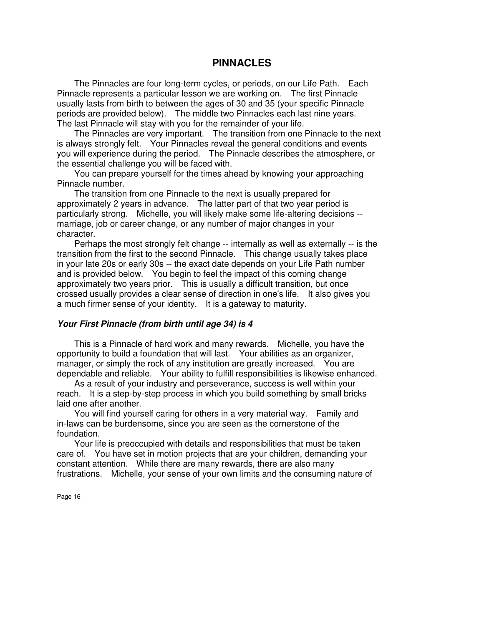## **PINNACLES**

 The Pinnacles are four long-term cycles, or periods, on our Life Path. Each Pinnacle represents a particular lesson we are working on. The first Pinnacle usually lasts from birth to between the ages of 30 and 35 (your specific Pinnacle periods are provided below). The middle two Pinnacles each last nine years. The last Pinnacle will stay with you for the remainder of your life.

 The Pinnacles are very important. The transition from one Pinnacle to the next is always strongly felt. Your Pinnacles reveal the general conditions and events you will experience during the period. The Pinnacle describes the atmosphere, or the essential challenge you will be faced with.

 You can prepare yourself for the times ahead by knowing your approaching Pinnacle number.

 The transition from one Pinnacle to the next is usually prepared for approximately 2 years in advance. The latter part of that two year period is particularly strong. Michelle, you will likely make some life-altering decisions - marriage, job or career change, or any number of major changes in your character.

 Perhaps the most strongly felt change -- internally as well as externally -- is the transition from the first to the second Pinnacle. This change usually takes place in your late 20s or early 30s -- the exact date depends on your Life Path number and is provided below. You begin to feel the impact of this coming change approximately two years prior. This is usually a difficult transition, but once crossed usually provides a clear sense of direction in one's life. It also gives you a much firmer sense of your identity. It is a gateway to maturity.

#### *Your First Pinnacle (from birth until age 34) is 4*

 This is a Pinnacle of hard work and many rewards. Michelle, you have the opportunity to build a foundation that will last. Your abilities as an organizer, manager, or simply the rock of any institution are greatly increased. You are dependable and reliable. Your ability to fulfill responsibilities is likewise enhanced.

 As a result of your industry and perseverance, success is well within your reach. It is a step-by-step process in which you build something by small bricks laid one after another.

 You will find yourself caring for others in a very material way. Family and in-laws can be burdensome, since you are seen as the cornerstone of the foundation.

 Your life is preoccupied with details and responsibilities that must be taken care of. You have set in motion projects that are your children, demanding your constant attention. While there are many rewards, there are also many frustrations. Michelle, your sense of your own limits and the consuming nature of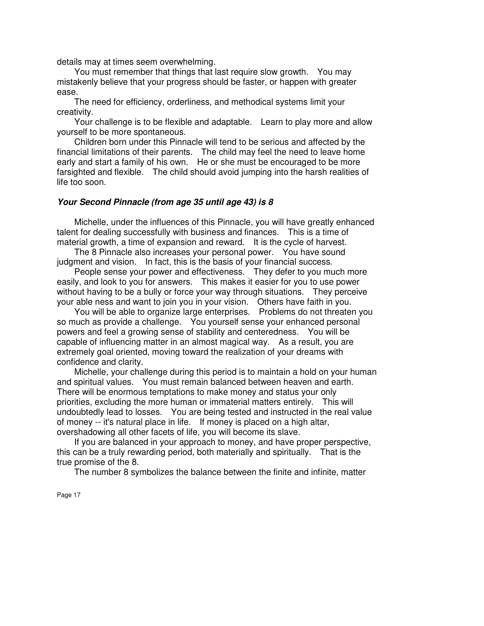details may at times seem overwhelming.

 You must remember that things that last require slow growth. You may mistakenly believe that your progress should be faster, or happen with greater ease.

 The need for efficiency, orderliness, and methodical systems limit your creativity.

 Your challenge is to be flexible and adaptable. Learn to play more and allow yourself to be more spontaneous.

 Children born under this Pinnacle will tend to be serious and affected by the financial limitations of their parents. The child may feel the need to leave home early and start a family of his own. He or she must be encouraged to be more farsighted and flexible. The child should avoid jumping into the harsh realities of life too soon.

#### *Your Second Pinnacle (from age 35 until age 43) is 8*

 Michelle, under the influences of this Pinnacle, you will have greatly enhanced talent for dealing successfully with business and finances. This is a time of material growth, a time of expansion and reward. It is the cycle of harvest.

 The 8 Pinnacle also increases your personal power. You have sound judgment and vision. In fact, this is the basis of your financial success.

 People sense your power and effectiveness. They defer to you much more easily, and look to you for answers. This makes it easier for you to use power without having to be a bully or force your way through situations. They perceive your able ness and want to join you in your vision. Others have faith in you.

 You will be able to organize large enterprises. Problems do not threaten you so much as provide a challenge. You yourself sense your enhanced personal powers and feel a growing sense of stability and centeredness. You will be capable of influencing matter in an almost magical way. As a result, you are extremely goal oriented, moving toward the realization of your dreams with confidence and clarity.

 Michelle, your challenge during this period is to maintain a hold on your human and spiritual values. You must remain balanced between heaven and earth. There will be enormous temptations to make money and status your only priorities, excluding the more human or immaterial matters entirely. This will undoubtedly lead to losses. You are being tested and instructed in the real value of money -- it's natural place in life. If money is placed on a high altar, overshadowing all other facets of life, you will become its slave.

 If you are balanced in your approach to money, and have proper perspective, this can be a truly rewarding period, both materially and spiritually. That is the true promise of the 8.

The number 8 symbolizes the balance between the finite and infinite, matter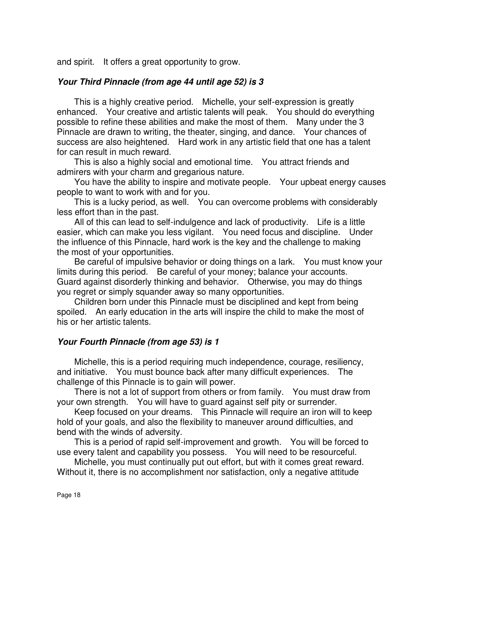and spirit. It offers a great opportunity to grow.

#### *Your Third Pinnacle (from age 44 until age 52) is 3*

 This is a highly creative period. Michelle, your self-expression is greatly enhanced. Your creative and artistic talents will peak. You should do everything possible to refine these abilities and make the most of them. Many under the 3 Pinnacle are drawn to writing, the theater, singing, and dance. Your chances of success are also heightened. Hard work in any artistic field that one has a talent for can result in much reward.

 This is also a highly social and emotional time. You attract friends and admirers with your charm and gregarious nature.

 You have the ability to inspire and motivate people. Your upbeat energy causes people to want to work with and for you.

 This is a lucky period, as well. You can overcome problems with considerably less effort than in the past.

 All of this can lead to self-indulgence and lack of productivity. Life is a little easier, which can make you less vigilant. You need focus and discipline. Under the influence of this Pinnacle, hard work is the key and the challenge to making the most of your opportunities.

 Be careful of impulsive behavior or doing things on a lark. You must know your limits during this period. Be careful of your money; balance your accounts. Guard against disorderly thinking and behavior. Otherwise, you may do things you regret or simply squander away so many opportunities.

 Children born under this Pinnacle must be disciplined and kept from being spoiled. An early education in the arts will inspire the child to make the most of his or her artistic talents.

#### *Your Fourth Pinnacle (from age 53) is 1*

 Michelle, this is a period requiring much independence, courage, resiliency, and initiative. You must bounce back after many difficult experiences. The challenge of this Pinnacle is to gain will power.

 There is not a lot of support from others or from family. You must draw from your own strength. You will have to guard against self pity or surrender.

 Keep focused on your dreams. This Pinnacle will require an iron will to keep hold of your goals, and also the flexibility to maneuver around difficulties, and bend with the winds of adversity.

 This is a period of rapid self-improvement and growth. You will be forced to use every talent and capability you possess. You will need to be resourceful.

 Michelle, you must continually put out effort, but with it comes great reward. Without it, there is no accomplishment nor satisfaction, only a negative attitude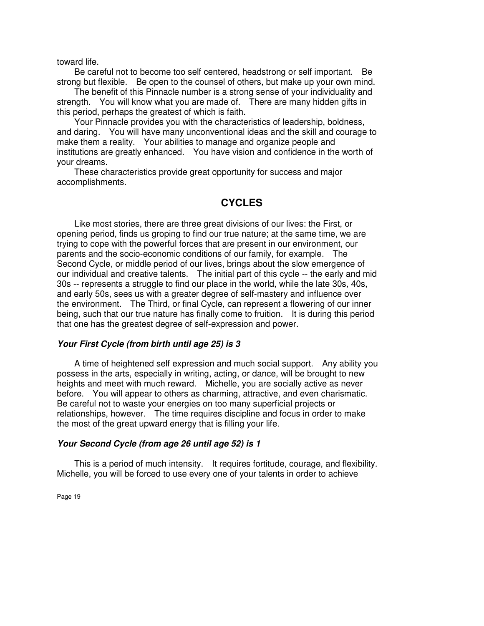toward life.

 Be careful not to become too self centered, headstrong or self important. Be strong but flexible. Be open to the counsel of others, but make up your own mind.

 The benefit of this Pinnacle number is a strong sense of your individuality and strength. You will know what you are made of. There are many hidden gifts in this period, perhaps the greatest of which is faith.

 Your Pinnacle provides you with the characteristics of leadership, boldness, and daring. You will have many unconventional ideas and the skill and courage to make them a reality. Your abilities to manage and organize people and institutions are greatly enhanced. You have vision and confidence in the worth of your dreams.

 These characteristics provide great opportunity for success and major accomplishments.

# **CYCLES**

 Like most stories, there are three great divisions of our lives: the First, or opening period, finds us groping to find our true nature; at the same time, we are trying to cope with the powerful forces that are present in our environment, our parents and the socio-economic conditions of our family, for example. The Second Cycle, or middle period of our lives, brings about the slow emergence of our individual and creative talents. The initial part of this cycle -- the early and mid 30s -- represents a struggle to find our place in the world, while the late 30s, 40s, and early 50s, sees us with a greater degree of self-mastery and influence over the environment. The Third, or final Cycle, can represent a flowering of our inner being, such that our true nature has finally come to fruition. It is during this period that one has the greatest degree of self-expression and power.

#### *Your First Cycle (from birth until age 25) is 3*

 A time of heightened self expression and much social support. Any ability you possess in the arts, especially in writing, acting, or dance, will be brought to new heights and meet with much reward. Michelle, you are socially active as never before. You will appear to others as charming, attractive, and even charismatic. Be careful not to waste your energies on too many superficial projects or relationships, however. The time requires discipline and focus in order to make the most of the great upward energy that is filling your life.

### *Your Second Cycle (from age 26 until age 52) is 1*

 This is a period of much intensity. It requires fortitude, courage, and flexibility. Michelle, you will be forced to use every one of your talents in order to achieve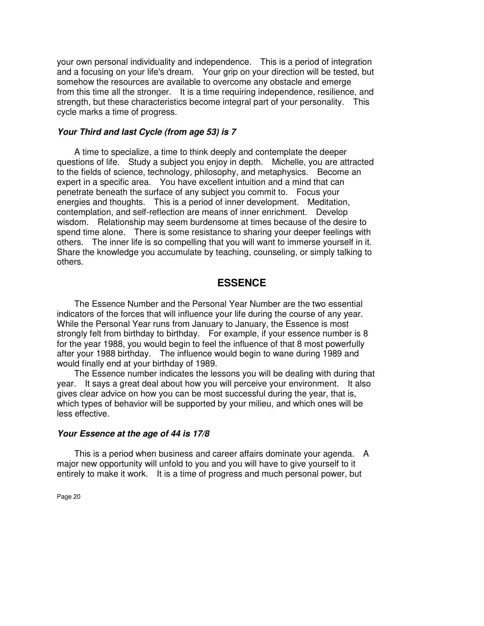your own personal individuality and independence. This is a period of integration and a focusing on your life's dream. Your grip on your direction will be tested, but somehow the resources are available to overcome any obstacle and emerge from this time all the stronger. It is a time requiring independence, resilience, and strength, but these characteristics become integral part of your personality. This cycle marks a time of progress.

### *Your Third and last Cycle (from age 53) is 7*

 A time to specialize, a time to think deeply and contemplate the deeper questions of life. Study a subject you enjoy in depth. Michelle, you are attracted to the fields of science, technology, philosophy, and metaphysics. Become an expert in a specific area. You have excellent intuition and a mind that can penetrate beneath the surface of any subject you commit to. Focus your energies and thoughts. This is a period of inner development. Meditation, contemplation, and self-reflection are means of inner enrichment. Develop wisdom. Relationship may seem burdensome at times because of the desire to spend time alone. There is some resistance to sharing your deeper feelings with others. The inner life is so compelling that you will want to immerse yourself in it. Share the knowledge you accumulate by teaching, counseling, or simply talking to others.

# **ESSENCE**

 The Essence Number and the Personal Year Number are the two essential indicators of the forces that will influence your life during the course of any year. While the Personal Year runs from January to January, the Essence is most strongly felt from birthday to birthday. For example, if your essence number is 8 for the year 1988, you would begin to feel the influence of that 8 most powerfully after your 1988 birthday. The influence would begin to wane during 1989 and would finally end at your birthday of 1989.

 The Essence number indicates the lessons you will be dealing with during that year. It says a great deal about how you will perceive your environment. It also gives clear advice on how you can be most successful during the year, that is, which types of behavior will be supported by your milieu, and which ones will be less effective.

#### *Your Essence at the age of 44 is 17/8*

 This is a period when business and career affairs dominate your agenda. A major new opportunity will unfold to you and you will have to give yourself to it entirely to make it work. It is a time of progress and much personal power, but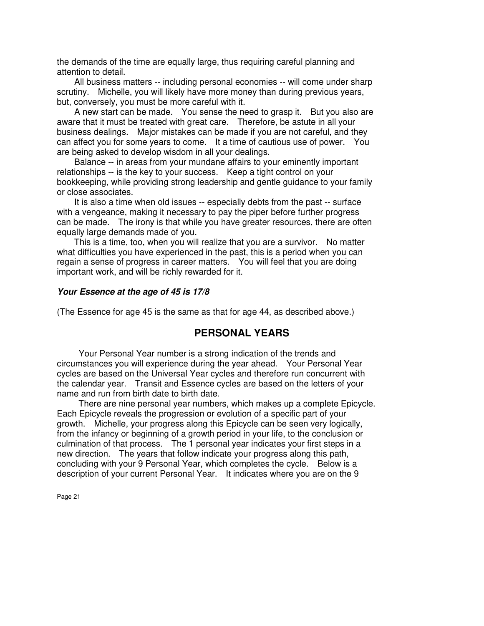the demands of the time are equally large, thus requiring careful planning and attention to detail.

 All business matters -- including personal economies -- will come under sharp scrutiny. Michelle, you will likely have more money than during previous years, but, conversely, you must be more careful with it.

 A new start can be made. You sense the need to grasp it. But you also are aware that it must be treated with great care. Therefore, be astute in all your business dealings. Major mistakes can be made if you are not careful, and they can affect you for some years to come. It a time of cautious use of power. You are being asked to develop wisdom in all your dealings.

 Balance -- in areas from your mundane affairs to your eminently important relationships -- is the key to your success. Keep a tight control on your bookkeeping, while providing strong leadership and gentle guidance to your family or close associates.

 It is also a time when old issues -- especially debts from the past -- surface with a vengeance, making it necessary to pay the piper before further progress can be made. The irony is that while you have greater resources, there are often equally large demands made of you.

 This is a time, too, when you will realize that you are a survivor. No matter what difficulties you have experienced in the past, this is a period when you can regain a sense of progress in career matters. You will feel that you are doing important work, and will be richly rewarded for it.

## *Your Essence at the age of 45 is 17/8*

(The Essence for age 45 is the same as that for age 44, as described above.)

# **PERSONAL YEARS**

 Your Personal Year number is a strong indication of the trends and circumstances you will experience during the year ahead. Your Personal Year cycles are based on the Universal Year cycles and therefore run concurrent with the calendar year. Transit and Essence cycles are based on the letters of your name and run from birth date to birth date.

 There are nine personal year numbers, which makes up a complete Epicycle. Each Epicycle reveals the progression or evolution of a specific part of your growth. Michelle, your progress along this Epicycle can be seen very logically, from the infancy or beginning of a growth period in your life, to the conclusion or culmination of that process. The 1 personal year indicates your first steps in a new direction. The years that follow indicate your progress along this path, concluding with your 9 Personal Year, which completes the cycle. Below is a description of your current Personal Year. It indicates where you are on the 9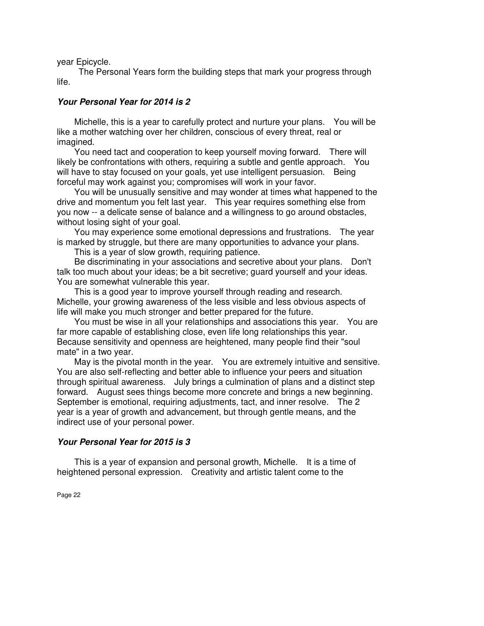year Epicycle.

 The Personal Years form the building steps that mark your progress through life.

#### *Your Personal Year for 2014 is 2*

 Michelle, this is a year to carefully protect and nurture your plans. You will be like a mother watching over her children, conscious of every threat, real or imagined.

 You need tact and cooperation to keep yourself moving forward. There will likely be confrontations with others, requiring a subtle and gentle approach. You will have to stay focused on your goals, yet use intelligent persuasion. Being forceful may work against you; compromises will work in your favor.

 You will be unusually sensitive and may wonder at times what happened to the drive and momentum you felt last year. This year requires something else from you now -- a delicate sense of balance and a willingness to go around obstacles, without losing sight of your goal.

 You may experience some emotional depressions and frustrations. The year is marked by struggle, but there are many opportunities to advance your plans.

This is a year of slow growth, requiring patience.

 Be discriminating in your associations and secretive about your plans. Don't talk too much about your ideas; be a bit secretive; guard yourself and your ideas. You are somewhat vulnerable this year.

 This is a good year to improve yourself through reading and research. Michelle, your growing awareness of the less visible and less obvious aspects of life will make you much stronger and better prepared for the future.

 You must be wise in all your relationships and associations this year. You are far more capable of establishing close, even life long relationships this year. Because sensitivity and openness are heightened, many people find their "soul mate" in a two year.

 May is the pivotal month in the year. You are extremely intuitive and sensitive. You are also self-reflecting and better able to influence your peers and situation through spiritual awareness. July brings a culmination of plans and a distinct step forward. August sees things become more concrete and brings a new beginning. September is emotional, requiring adjustments, tact, and inner resolve. The 2 year is a year of growth and advancement, but through gentle means, and the indirect use of your personal power.

#### *Your Personal Year for 2015 is 3*

 This is a year of expansion and personal growth, Michelle. It is a time of heightened personal expression. Creativity and artistic talent come to the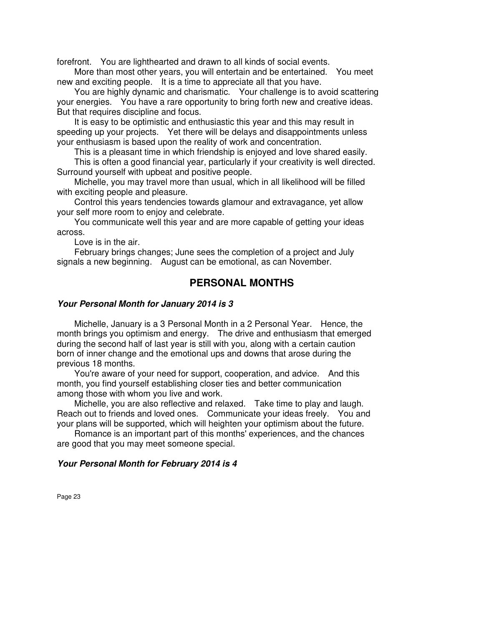forefront. You are lighthearted and drawn to all kinds of social events.

 More than most other years, you will entertain and be entertained. You meet new and exciting people. It is a time to appreciate all that you have.

 You are highly dynamic and charismatic. Your challenge is to avoid scattering your energies. You have a rare opportunity to bring forth new and creative ideas. But that requires discipline and focus.

 It is easy to be optimistic and enthusiastic this year and this may result in speeding up your projects. Yet there will be delays and disappointments unless your enthusiasm is based upon the reality of work and concentration.

This is a pleasant time in which friendship is enjoyed and love shared easily.

 This is often a good financial year, particularly if your creativity is well directed. Surround yourself with upbeat and positive people.

 Michelle, you may travel more than usual, which in all likelihood will be filled with exciting people and pleasure.

 Control this years tendencies towards glamour and extravagance, yet allow your self more room to enjoy and celebrate.

 You communicate well this year and are more capable of getting your ideas across.

Love is in the air.

 February brings changes; June sees the completion of a project and July signals a new beginning. August can be emotional, as can November.

## **PERSONAL MONTHS**

#### *Your Personal Month for January 2014 is 3*

 Michelle, January is a 3 Personal Month in a 2 Personal Year. Hence, the month brings you optimism and energy. The drive and enthusiasm that emerged during the second half of last year is still with you, along with a certain caution born of inner change and the emotional ups and downs that arose during the previous 18 months.

 You're aware of your need for support, cooperation, and advice. And this month, you find yourself establishing closer ties and better communication among those with whom you live and work.

 Michelle, you are also reflective and relaxed. Take time to play and laugh. Reach out to friends and loved ones. Communicate your ideas freely. You and your plans will be supported, which will heighten your optimism about the future.

 Romance is an important part of this months' experiences, and the chances are good that you may meet someone special.

#### *Your Personal Month for February 2014 is 4*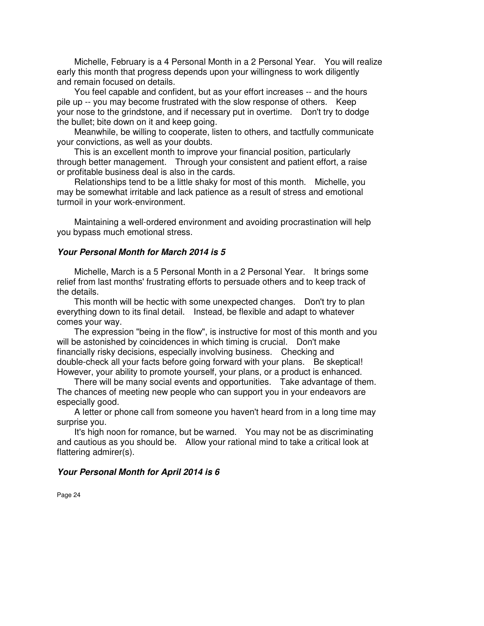Michelle, February is a 4 Personal Month in a 2 Personal Year. You will realize early this month that progress depends upon your willingness to work diligently and remain focused on details.

 You feel capable and confident, but as your effort increases -- and the hours pile up -- you may become frustrated with the slow response of others. Keep your nose to the grindstone, and if necessary put in overtime. Don't try to dodge the bullet; bite down on it and keep going.

 Meanwhile, be willing to cooperate, listen to others, and tactfully communicate your convictions, as well as your doubts.

 This is an excellent month to improve your financial position, particularly through better management. Through your consistent and patient effort, a raise or profitable business deal is also in the cards.

 Relationships tend to be a little shaky for most of this month. Michelle, you may be somewhat irritable and lack patience as a result of stress and emotional turmoil in your work-environment.

 Maintaining a well-ordered environment and avoiding procrastination will help you bypass much emotional stress.

#### *Your Personal Month for March 2014 is 5*

 Michelle, March is a 5 Personal Month in a 2 Personal Year. It brings some relief from last months' frustrating efforts to persuade others and to keep track of the details.

 This month will be hectic with some unexpected changes. Don't try to plan everything down to its final detail. Instead, be flexible and adapt to whatever comes your way.

 The expression "being in the flow", is instructive for most of this month and you will be astonished by coincidences in which timing is crucial. Don't make financially risky decisions, especially involving business. Checking and double-check all your facts before going forward with your plans. Be skeptical! However, your ability to promote yourself, your plans, or a product is enhanced.

 There will be many social events and opportunities. Take advantage of them. The chances of meeting new people who can support you in your endeavors are especially good.

 A letter or phone call from someone you haven't heard from in a long time may surprise you.

 It's high noon for romance, but be warned. You may not be as discriminating and cautious as you should be. Allow your rational mind to take a critical look at flattering admirer(s).

#### *Your Personal Month for April 2014 is 6*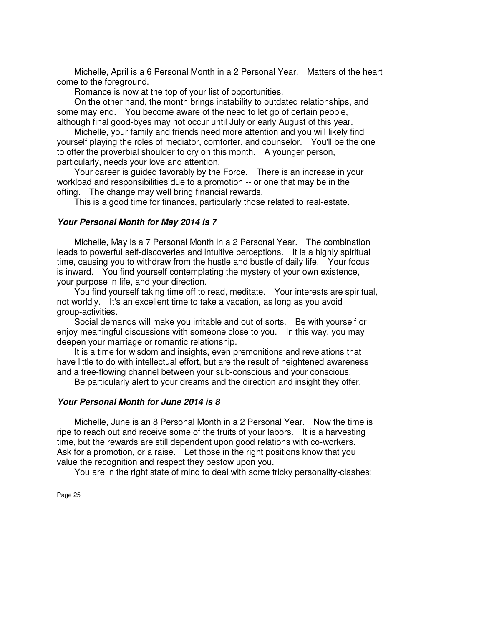Michelle, April is a 6 Personal Month in a 2 Personal Year. Matters of the heart come to the foreground.

Romance is now at the top of your list of opportunities.

 On the other hand, the month brings instability to outdated relationships, and some may end. You become aware of the need to let go of certain people, although final good-byes may not occur until July or early August of this year.

 Michelle, your family and friends need more attention and you will likely find yourself playing the roles of mediator, comforter, and counselor. You'll be the one to offer the proverbial shoulder to cry on this month. A younger person, particularly, needs your love and attention.

 Your career is guided favorably by the Force. There is an increase in your workload and responsibilities due to a promotion -- or one that may be in the offing. The change may well bring financial rewards.

This is a good time for finances, particularly those related to real-estate.

## *Your Personal Month for May 2014 is 7*

 Michelle, May is a 7 Personal Month in a 2 Personal Year. The combination leads to powerful self-discoveries and intuitive perceptions. It is a highly spiritual time, causing you to withdraw from the hustle and bustle of daily life. Your focus is inward. You find yourself contemplating the mystery of your own existence, your purpose in life, and your direction.

 You find yourself taking time off to read, meditate. Your interests are spiritual, not worldly. It's an excellent time to take a vacation, as long as you avoid group-activities.

 Social demands will make you irritable and out of sorts. Be with yourself or enjoy meaningful discussions with someone close to you. In this way, you may deepen your marriage or romantic relationship.

 It is a time for wisdom and insights, even premonitions and revelations that have little to do with intellectual effort, but are the result of heightened awareness and a free-flowing channel between your sub-conscious and your conscious.

Be particularly alert to your dreams and the direction and insight they offer.

#### *Your Personal Month for June 2014 is 8*

 Michelle, June is an 8 Personal Month in a 2 Personal Year. Now the time is ripe to reach out and receive some of the fruits of your labors. It is a harvesting time, but the rewards are still dependent upon good relations with co-workers. Ask for a promotion, or a raise. Let those in the right positions know that you value the recognition and respect they bestow upon you.

You are in the right state of mind to deal with some tricky personality-clashes;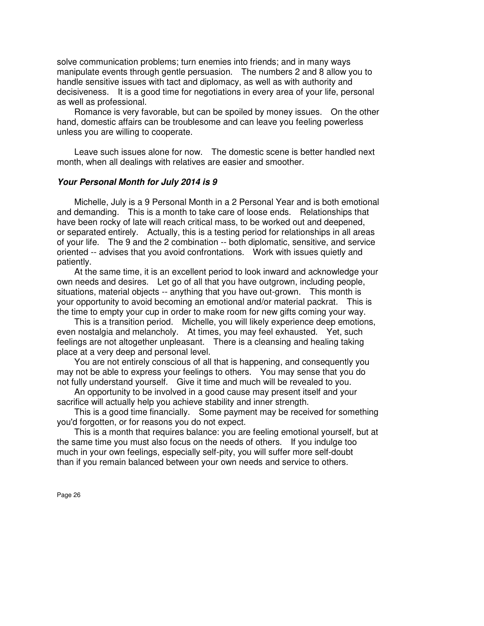solve communication problems; turn enemies into friends; and in many ways manipulate events through gentle persuasion. The numbers 2 and 8 allow you to handle sensitive issues with tact and diplomacy, as well as with authority and decisiveness. It is a good time for negotiations in every area of your life, personal as well as professional.

 Romance is very favorable, but can be spoiled by money issues. On the other hand, domestic affairs can be troublesome and can leave you feeling powerless unless you are willing to cooperate.

 Leave such issues alone for now. The domestic scene is better handled next month, when all dealings with relatives are easier and smoother.

#### *Your Personal Month for July 2014 is 9*

 Michelle, July is a 9 Personal Month in a 2 Personal Year and is both emotional and demanding. This is a month to take care of loose ends. Relationships that have been rocky of late will reach critical mass, to be worked out and deepened, or separated entirely. Actually, this is a testing period for relationships in all areas of your life. The 9 and the 2 combination -- both diplomatic, sensitive, and service oriented -- advises that you avoid confrontations. Work with issues quietly and patiently.

 At the same time, it is an excellent period to look inward and acknowledge your own needs and desires. Let go of all that you have outgrown, including people, situations, material objects -- anything that you have out-grown. This month is your opportunity to avoid becoming an emotional and/or material packrat. This is the time to empty your cup in order to make room for new gifts coming your way.

 This is a transition period. Michelle, you will likely experience deep emotions, even nostalgia and melancholy. At times, you may feel exhausted. Yet, such feelings are not altogether unpleasant. There is a cleansing and healing taking place at a very deep and personal level.

 You are not entirely conscious of all that is happening, and consequently you may not be able to express your feelings to others. You may sense that you do not fully understand yourself. Give it time and much will be revealed to you.

 An opportunity to be involved in a good cause may present itself and your sacrifice will actually help you achieve stability and inner strength.

 This is a good time financially. Some payment may be received for something you'd forgotten, or for reasons you do not expect.

 This is a month that requires balance: you are feeling emotional yourself, but at the same time you must also focus on the needs of others. If you indulge too much in your own feelings, especially self-pity, you will suffer more self-doubt than if you remain balanced between your own needs and service to others.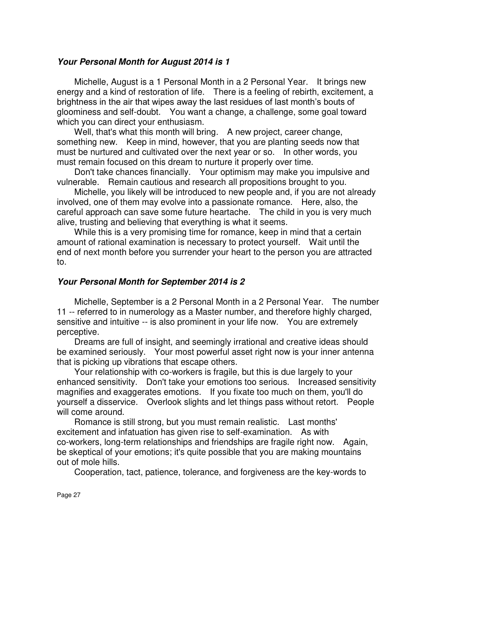#### *Your Personal Month for August 2014 is 1*

 Michelle, August is a 1 Personal Month in a 2 Personal Year. It brings new energy and a kind of restoration of life. There is a feeling of rebirth, excitement, a brightness in the air that wipes away the last residues of last month's bouts of gloominess and self-doubt. You want a change, a challenge, some goal toward which you can direct your enthusiasm.

Well, that's what this month will bring. A new project, career change, something new. Keep in mind, however, that you are planting seeds now that must be nurtured and cultivated over the next year or so. In other words, you must remain focused on this dream to nurture it properly over time.

 Don't take chances financially. Your optimism may make you impulsive and vulnerable. Remain cautious and research all propositions brought to you.

 Michelle, you likely will be introduced to new people and, if you are not already involved, one of them may evolve into a passionate romance. Here, also, the careful approach can save some future heartache. The child in you is very much alive, trusting and believing that everything is what it seems.

 While this is a very promising time for romance, keep in mind that a certain amount of rational examination is necessary to protect yourself. Wait until the end of next month before you surrender your heart to the person you are attracted to.

#### *Your Personal Month for September 2014 is 2*

 Michelle, September is a 2 Personal Month in a 2 Personal Year. The number 11 -- referred to in numerology as a Master number, and therefore highly charged, sensitive and intuitive -- is also prominent in your life now. You are extremely perceptive.

 Dreams are full of insight, and seemingly irrational and creative ideas should be examined seriously. Your most powerful asset right now is your inner antenna that is picking up vibrations that escape others.

 Your relationship with co-workers is fragile, but this is due largely to your enhanced sensitivity. Don't take your emotions too serious. Increased sensitivity magnifies and exaggerates emotions. If you fixate too much on them, you'll do yourself a disservice. Overlook slights and let things pass without retort. People will come around.

 Romance is still strong, but you must remain realistic. Last months' excitement and infatuation has given rise to self-examination. As with co-workers, long-term relationships and friendships are fragile right now. Again, be skeptical of your emotions; it's quite possible that you are making mountains out of mole hills.

Cooperation, tact, patience, tolerance, and forgiveness are the key-words to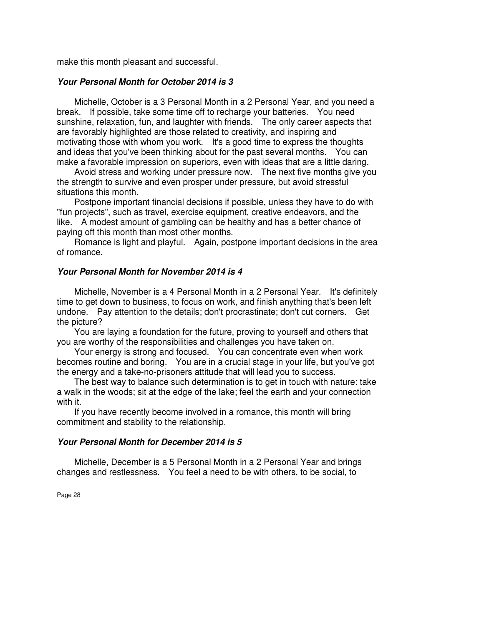make this month pleasant and successful.

#### *Your Personal Month for October 2014 is 3*

 Michelle, October is a 3 Personal Month in a 2 Personal Year, and you need a break. If possible, take some time off to recharge your batteries. You need sunshine, relaxation, fun, and laughter with friends. The only career aspects that are favorably highlighted are those related to creativity, and inspiring and motivating those with whom you work. It's a good time to express the thoughts and ideas that you've been thinking about for the past several months. You can make a favorable impression on superiors, even with ideas that are a little daring.

 Avoid stress and working under pressure now. The next five months give you the strength to survive and even prosper under pressure, but avoid stressful situations this month.

 Postpone important financial decisions if possible, unless they have to do with "fun projects", such as travel, exercise equipment, creative endeavors, and the like. A modest amount of gambling can be healthy and has a better chance of paying off this month than most other months.

 Romance is light and playful. Again, postpone important decisions in the area of romance.

#### *Your Personal Month for November 2014 is 4*

 Michelle, November is a 4 Personal Month in a 2 Personal Year. It's definitely time to get down to business, to focus on work, and finish anything that's been left undone. Pay attention to the details; don't procrastinate; don't cut corners. Get the picture?

 You are laying a foundation for the future, proving to yourself and others that you are worthy of the responsibilities and challenges you have taken on.

 Your energy is strong and focused. You can concentrate even when work becomes routine and boring. You are in a crucial stage in your life, but you've got the energy and a take-no-prisoners attitude that will lead you to success.

 The best way to balance such determination is to get in touch with nature: take a walk in the woods; sit at the edge of the lake; feel the earth and your connection with it.

 If you have recently become involved in a romance, this month will bring commitment and stability to the relationship.

#### *Your Personal Month for December 2014 is 5*

 Michelle, December is a 5 Personal Month in a 2 Personal Year and brings changes and restlessness. You feel a need to be with others, to be social, to